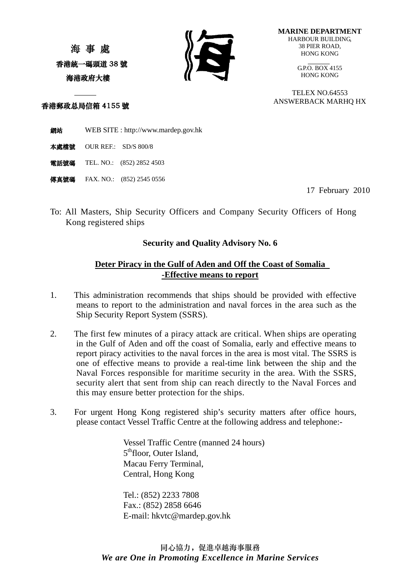海 事 處 香港統一碼頭道 38 號 海港政府大樓



**MARINE DEPARTMENT** HARBOUR BUILDING, 38 PIER ROAD, HONG KONG

> $G.P.O.$  BOX 4155 HONG KONG

TELEX NO.64553 ANSWERBACK MARHQ HX

香港郵政总局信箱 4155 號

網站 WEB SITE : [http://www.mardep.gov.hk](http://www.mardep.gov.hk/)

本處檔號 OUR REF.: SD/S 800/8

電話號碼 TEL. NO.: (852) 2852 4503

**傳真號碼** FAX. NO.: (852) 2545 0556

17 February 2010

To: All Masters, Ship Security Officers and Company Security Officers of Hong Kong registered ships

## **Security and Quality Advisory No. 6**

## **Deter Piracy in the Gulf of Aden and Off the Coast of Somalia -Effective means to report**

- 1. This administration recommends that ships should be provided with effective means to report to the administration and naval forces in the area such as the Ship Security Report System (SSRS).
- 2. The first few minutes of a piracy attack are critical. When ships are operating in the Gulf of Aden and off the coast of Somalia, early and effective means to report piracy activities to the naval forces in the area is most vital. The SSRS is one of effective means to provide a real-time link between the ship and the Naval Forces responsible for maritime security in the area. With the SSRS, security alert that sent from ship can reach directly to the Naval Forces and this may ensure better protection for the ships.
- 3. For urgent Hong Kong registered ship's security matters after office hours, please contact Vessel Traffic Centre at the following address and telephone:-

Vessel Traffic Centre (manned 24 hours) 5<sup>th</sup>floor, Outer Island, Macau Ferry Terminal, Central, Hong Kong

Tel.: (852) 2233 7808 Fax.: (852) 2858 6646 E-mail: [hkvtc@mardep.gov.hk](mailto:hkvtc@mardep.gov.hk)